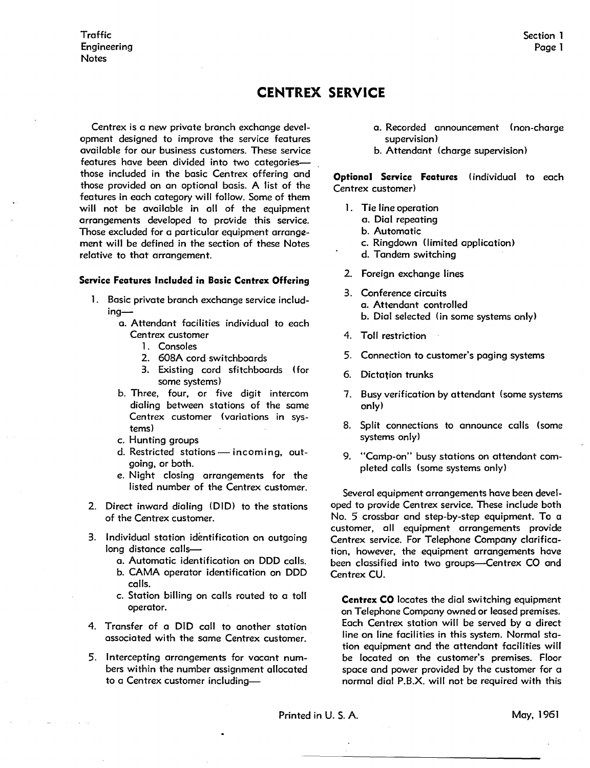## **CENTREX SERVICE**

Centrex is a new private branch exchange development designed to improve the service features available for our business customers. These service features have been divided into two categoriesthose included in the basic Centrex offering and those provided on an optional basis. A list of the features in each category will follow. Some of them will not be available in all of the equipment arrangements developed to provide this service. Those excluded for a particular equipment arrangement will be defined in the section of these Notes relative to that arrangement.

## **Service Features Included in Basic Centrex Offering**

- 1. Basic private branch exchange service including
	- a. Attendant facilities individual to each Centrex customer
		- 1. Consoles
		- 2. 608A cord switchboards
		- 3. Existing cord sfitchboards (for some systems)
	- b. Three, four, or five digit intercom dialing between stations of the same Centrex customer (variations in systems)
	- c. Hunting groups
	- d. Restricted stations incoming, outgoing, or both.
	- e. Night closing arrangements for the listed number of the Centrex customer.
- 2. Direct inward dialing (DID) to the stations of the Centrex customer.
- 3. Individual station identification on outgoing long distance calls
	- a. Automatic identification on DDD calls.
	- b. **CAMA** operator identification on DDD calls.
	- c. Station billing on calls routed to a toll operator.
- 4. Transfer of a DID call to another station associated with the same Centrex customer.
- 5. Intercepting arrangements for vacant numbers within the number assignment allocated to a Centrex customer including-
- a. Recorded announcement (non-charge supervision)
- b. Attendant (charge supervision)

**Optional Service Features** (individual to each Centrex customer)

- 1. Tie line operation
	- a. Dial repeating
	- b. Automatic
	- c. Ringdown (limited application)
	- d. Tandem switching
- 2. Foreign exchange lines
- 3. Conference circuits a. Attendant controlled b. Dial selected (in some systems only)
- 4. Toll restriction
- 5. Connection to customer's paging systems
- 6. Dictation trunks
- 7. Busy verification by attendant (some systems only)
- 8. Split connections to announce calls (some systems only)
- 9. "Camp-on" busy stations on attendant completed calls (some systems only)

Several equipment arrangements have been developed to provide Centrex service. These include both No. 5 crossbar and step-by-step equipment. To a customer, all equipment arrangements provide Centrex service. For Telephone Company clarification, however, the equipment arrangements have been classified into two groups-Centrex CO and Centrex CU.

**Centrex CO** locates the dial switching equipment on Telephone Company owned or leased premises. Each Centrex station will be served by a direct line on line facilities in this system. Normal station equipment and the attendant facilities will be located on the customer's premises. Floor space and power provided by the customer for a normal dial P.B.X. will not be required with this